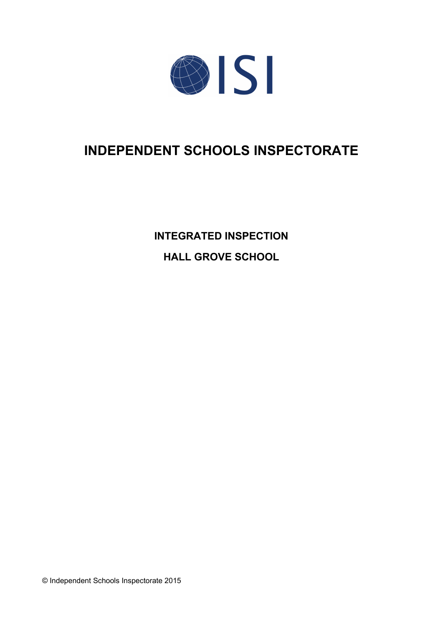

# **INDEPENDENT SCHOOLS INSPECTORATE**

**INTEGRATED INSPECTION HALL GROVE SCHOOL**

© Independent Schools Inspectorate 2015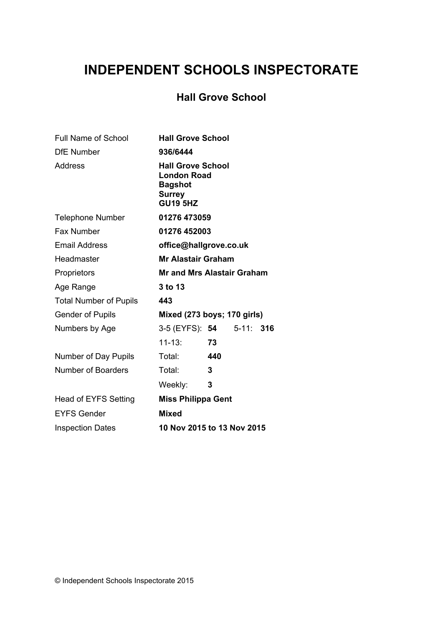# **INDEPENDENT SCHOOLS INSPECTORATE**

## **Hall Grove School**

| <b>Full Name of School</b>    | <b>Hall Grove School</b>                                                                             |
|-------------------------------|------------------------------------------------------------------------------------------------------|
| <b>DfE Number</b>             | 936/6444                                                                                             |
| Address                       | <b>Hall Grove School</b><br><b>London Road</b><br><b>Bagshot</b><br><b>Surrey</b><br><b>GU19 5HZ</b> |
| <b>Telephone Number</b>       | 01276 473059                                                                                         |
| <b>Fax Number</b>             | 01276 452003                                                                                         |
| <b>Email Address</b>          | office@hallgrove.co.uk                                                                               |
| Headmaster                    | <b>Mr Alastair Graham</b>                                                                            |
| Proprietors                   | <b>Mr and Mrs Alastair Graham</b>                                                                    |
| Age Range                     | 3 to 13                                                                                              |
| <b>Total Number of Pupils</b> | 443                                                                                                  |
| <b>Gender of Pupils</b>       | Mixed (273 boys; 170 girls)                                                                          |
| Numbers by Age                | 3-5 (EYFS): 54 5-11: 316                                                                             |
|                               | $11 - 13:$<br>73                                                                                     |
| Number of Day Pupils          | Total:<br>440                                                                                        |
| Number of Boarders            | Total:<br>3                                                                                          |
|                               | 3<br>Weekly:                                                                                         |
| <b>Head of EYFS Setting</b>   | <b>Miss Philippa Gent</b>                                                                            |
| <b>EYFS Gender</b>            | <b>Mixed</b>                                                                                         |
| <b>Inspection Dates</b>       | 10 Nov 2015 to 13 Nov 2015                                                                           |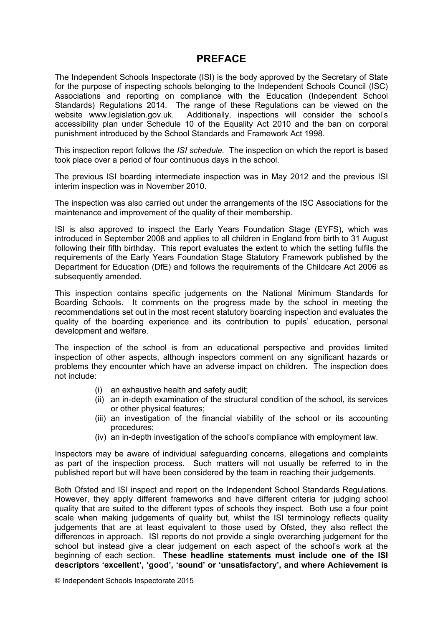## **PREFACE**

The Independent Schools Inspectorate (ISI) is the body approved by the Secretary of State for the purpose of inspecting schools belonging to the Independent Schools Council (ISC) Associations and reporting on compliance with the Education (Independent School Standards) Regulations 2014. The range of these Regulations can be viewed on the website [www.legislation.gov.uk.](http://www.legislation.gov.uk) Additionally, inspections will consider the school's accessibility plan under Schedule 10 of the Equality Act 2010 and the ban on corporal punishment introduced by the School Standards and Framework Act 1998.

This inspection report follows the *ISI schedule.* The inspection on which the report is based took place over a period of four continuous days in the school.

The previous ISI boarding intermediate inspection was in May 2012 and the previous ISI interim inspection was in November 2010.

The inspection was also carried out under the arrangements of the ISC Associations for the maintenance and improvement of the quality of their membership.

ISI is also approved to inspect the Early Years Foundation Stage (EYFS), which was introduced in September 2008 and applies to all children in England from birth to 31 August following their fifth birthday. This report evaluates the extent to which the setting fulfils the requirements of the Early Years Foundation Stage Statutory Framework published by the Department for Education (DfE) and follows the requirements of the Childcare Act 2006 as subsequently amended.

This inspection contains specific judgements on the National Minimum Standards for Boarding Schools. It comments on the progress made by the school in meeting the recommendations set out in the most recent statutory boarding inspection and evaluates the quality of the boarding experience and its contribution to pupils' education, personal development and welfare.

The inspection of the school is from an educational perspective and provides limited inspection of other aspects, although inspectors comment on any significant hazards or problems they encounter which have an adverse impact on children. The inspection does not include:

- (i) an exhaustive health and safety audit;
- (ii) an in-depth examination of the structural condition of the school, its services or other physical features;
- (iii) an investigation of the financial viability of the school or its accounting procedures;
- (iv) an in-depth investigation of the school's compliance with employment law.

Inspectors may be aware of individual safeguarding concerns, allegations and complaints as part of the inspection process. Such matters will not usually be referred to in the published report but will have been considered by the team in reaching their judgements.

Both Ofsted and ISI inspect and report on the Independent School Standards Regulations. However, they apply different frameworks and have different criteria for judging school quality that are suited to the different types of schools they inspect. Both use a four point scale when making judgements of quality but, whilst the ISI terminology reflects quality judgements that are at least equivalent to those used by Ofsted, they also reflect the differences in approach. ISI reports do not provide a single overarching judgement for the school but instead give a clear judgement on each aspect of the school's work at the beginning of each section. **These headline statements must include one of the ISI descriptors 'excellent', 'good', 'sound' or 'unsatisfactory', and where Achievement is**

© Independent Schools Inspectorate 2015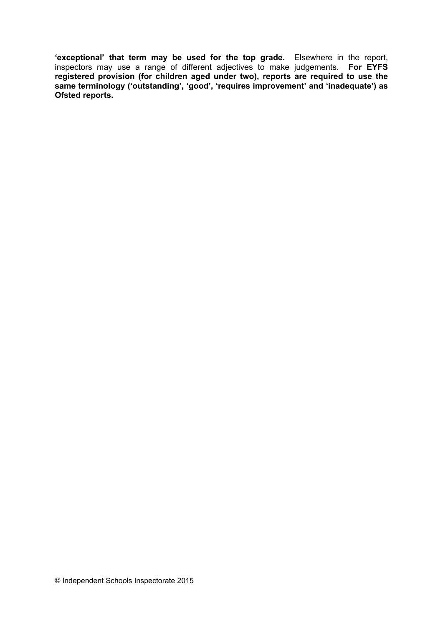**'exceptional' that term may be used for the top grade.** Elsewhere in the report, inspectors may use a range of different adjectives to make judgements. **For EYFS registered provision (for children aged under two), reports are required to use the same terminology ('outstanding', 'good', 'requires improvement' and 'inadequate') as Ofsted reports.**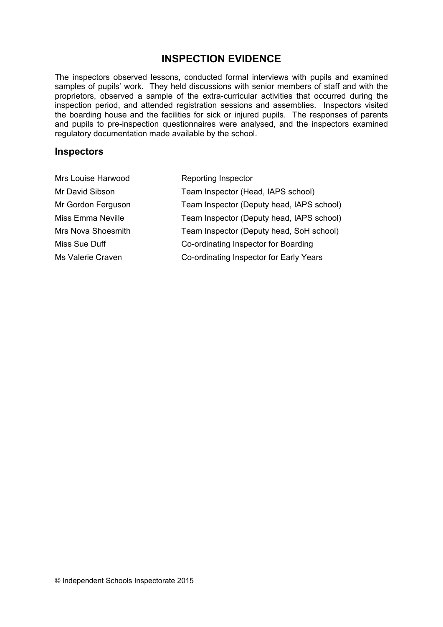## **INSPECTION EVIDENCE**

The inspectors observed lessons, conducted formal interviews with pupils and examined samples of pupils' work. They held discussions with senior members of staff and with the proprietors, observed a sample of the extra-curricular activities that occurred during the inspection period, and attended registration sessions and assemblies. Inspectors visited the boarding house and the facilities for sick or injured pupils. The responses of parents and pupils to pre-inspection questionnaires were analysed, and the inspectors examined regulatory documentation made available by the school.

### **Inspectors**

| Mrs Louise Harwood       | Reporting Inspector                       |
|--------------------------|-------------------------------------------|
| Mr David Sibson          | Team Inspector (Head, IAPS school)        |
| Mr Gordon Ferguson       | Team Inspector (Deputy head, IAPS school) |
| <b>Miss Emma Neville</b> | Team Inspector (Deputy head, IAPS school) |
| Mrs Nova Shoesmith       | Team Inspector (Deputy head, SoH school)  |
| Miss Sue Duff            | Co-ordinating Inspector for Boarding      |
| Ms Valerie Craven        | Co-ordinating Inspector for Early Years   |
|                          |                                           |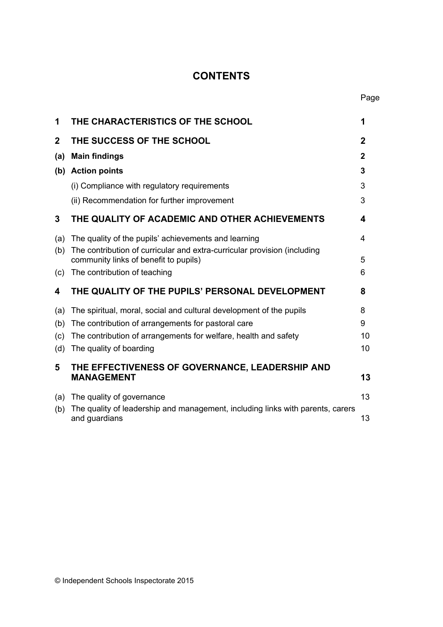# **CONTENTS**

Page

| 1           | THE CHARACTERISTICS OF THE SCHOOL                                                                                 | 1           |
|-------------|-------------------------------------------------------------------------------------------------------------------|-------------|
| $\mathbf 2$ | THE SUCCESS OF THE SCHOOL                                                                                         | $\mathbf 2$ |
| (a)         | <b>Main findings</b>                                                                                              | 2           |
|             | (b) Action points                                                                                                 | 3           |
|             | (i) Compliance with regulatory requirements                                                                       | 3           |
|             | (ii) Recommendation for further improvement                                                                       | 3           |
| 3           | THE QUALITY OF ACADEMIC AND OTHER ACHIEVEMENTS                                                                    | 4           |
| (a)         | The quality of the pupils' achievements and learning                                                              | 4           |
| (b)         | The contribution of curricular and extra-curricular provision (including<br>community links of benefit to pupils) | 5           |
| (c)         | The contribution of teaching                                                                                      | 6           |
| 4           | THE QUALITY OF THE PUPILS' PERSONAL DEVELOPMENT                                                                   | 8           |
| (a)         | The spiritual, moral, social and cultural development of the pupils                                               | 8           |
| (b)         | The contribution of arrangements for pastoral care                                                                | 9           |
| (c)         | The contribution of arrangements for welfare, health and safety                                                   | 10          |
| (d)         | The quality of boarding                                                                                           | 10          |
| 5           | THE EFFECTIVENESS OF GOVERNANCE, LEADERSHIP AND<br><b>MANAGEMENT</b>                                              | 13          |
| (a)         | The quality of governance                                                                                         | 13          |
| (b)         | The quality of leadership and management, including links with parents, carers<br>and guardians                   | 13          |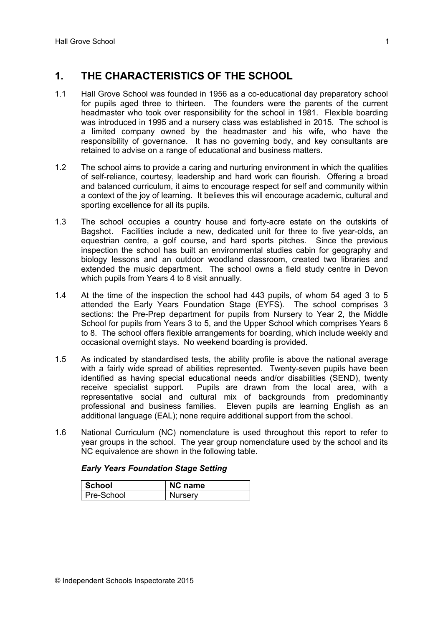## **1. THE CHARACTERISTICS OF THE SCHOOL**

- 1.1 Hall Grove School was founded in 1956 as a co-educational day preparatory school for pupils aged three to thirteen. The founders were the parents of the current headmaster who took over responsibility for the school in 1981. Flexible boarding was introduced in 1995 and a nursery class was established in 2015. The school is a limited company owned by the headmaster and his wife, who have the responsibility of governance. It has no governing body, and key consultants are retained to advise on a range of educational and business matters.
- 1.2 The school aims to provide a caring and nurturing environment in which the qualities of self-reliance, courtesy, leadership and hard work can flourish. Offering a broad and balanced curriculum, it aims to encourage respect for self and community within a context of the joy of learning. It believes this will encourage academic, cultural and sporting excellence for all its pupils.
- 1.3 The school occupies a country house and forty-acre estate on the outskirts of Bagshot. Facilities include a new, dedicated unit for three to five year-olds, an equestrian centre, a golf course, and hard sports pitches. Since the previous inspection the school has built an environmental studies cabin for geography and biology lessons and an outdoor woodland classroom, created two libraries and extended the music department. The school owns a field study centre in Devon which pupils from Years 4 to 8 visit annually.
- 1.4 At the time of the inspection the school had 443 pupils, of whom 54 aged 3 to 5 attended the Early Years Foundation Stage (EYFS). The school comprises 3 sections: the Pre-Prep department for pupils from Nursery to Year 2, the Middle School for pupils from Years 3 to 5, and the Upper School which comprises Years 6 to 8. The school offers flexible arrangements for boarding, which include weekly and occasional overnight stays. No weekend boarding is provided.
- 1.5 As indicated by standardised tests, the ability profile is above the national average with a fairly wide spread of abilities represented. Twenty-seven pupils have been identified as having special educational needs and/or disabilities (SEND), twenty receive specialist support. Pupils are drawn from the local area, with a representative social and cultural mix of backgrounds from predominantly professional and business families. Eleven pupils are learning English as an additional language (EAL); none require additional support from the school.
- 1.6 National Curriculum (NC) nomenclature is used throughout this report to refer to year groups in the school. The year group nomenclature used by the school and its NC equivalence are shown in the following table.

| School           | <b>NC name</b> |
|------------------|----------------|
| :hool<br>Pre-Scr | rserv          |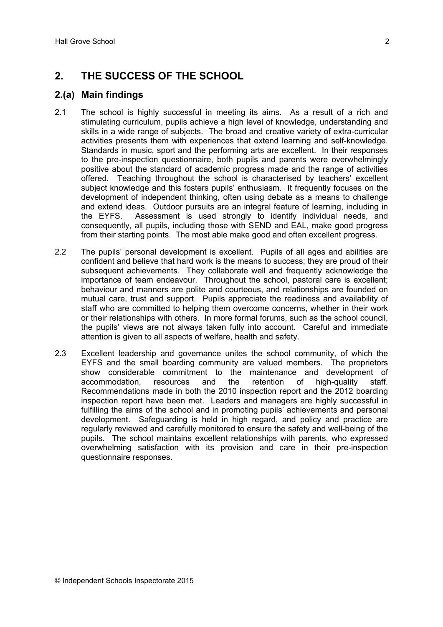## **2. THE SUCCESS OF THE SCHOOL**

## **2.(a) Main findings**

- 2.1 The school is highly successful in meeting its aims. As a result of a rich and stimulating curriculum, pupils achieve a high level of knowledge, understanding and skills in a wide range of subjects. The broad and creative variety of extra-curricular activities presents them with experiences that extend learning and self-knowledge. Standards in music, sport and the performing arts are excellent. In their responses to the pre-inspection questionnaire, both pupils and parents were overwhelmingly positive about the standard of academic progress made and the range of activities offered. Teaching throughout the school is characterised by teachers' excellent subject knowledge and this fosters pupils' enthusiasm. It frequently focuses on the development of independent thinking, often using debate as a means to challenge and extend ideas. Outdoor pursuits are an integral feature of learning, including in the EYFS. Assessment is used strongly to identify individual needs, and consequently, all pupils, including those with SEND and EAL, make good progress from their starting points. The most able make good and often excellent progress.
- 2.2 The pupils' personal development is excellent. Pupils of all ages and abilities are confident and believe that hard work is the means to success; they are proud of their subsequent achievements. They collaborate well and frequently acknowledge the importance of team endeavour. Throughout the school, pastoral care is excellent; behaviour and manners are polite and courteous, and relationships are founded on mutual care, trust and support. Pupils appreciate the readiness and availability of staff who are committed to helping them overcome concerns, whether in their work or their relationships with others. In more formal forums, such as the school council, the pupils' views are not always taken fully into account. Careful and immediate attention is given to all aspects of welfare, health and safety.
- 2.3 Excellent leadership and governance unites the school community, of which the EYFS and the small boarding community are valued members. The proprietors show considerable commitment to the maintenance and development of accommodation, resources and the retention of high-quality staff. Recommendations made in both the 2010 inspection report and the 2012 boarding inspection report have been met. Leaders and managers are highly successful in fulfilling the aims of the school and in promoting pupils' achievements and personal development. Safeguarding is held in high regard, and policy and practice are regularly reviewed and carefully monitored to ensure the safety and well-being of the pupils. The school maintains excellent relationships with parents, who expressed overwhelming satisfaction with its provision and care in their pre-inspection questionnaire responses.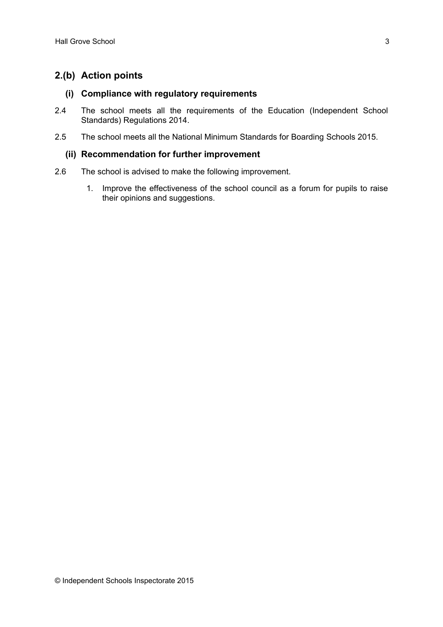## **2.(b) Action points**

### **(i) Compliance with regulatory requirements**

- 2.4 The school meets all the requirements of the Education (Independent School Standards) Regulations 2014.
- 2.5 The school meets all the National Minimum Standards for Boarding Schools 2015.

### **(ii) Recommendation for further improvement**

- 2.6 The school is advised to make the following improvement.
	- 1. Improve the effectiveness of the school council as a forum for pupils to raise their opinions and suggestions.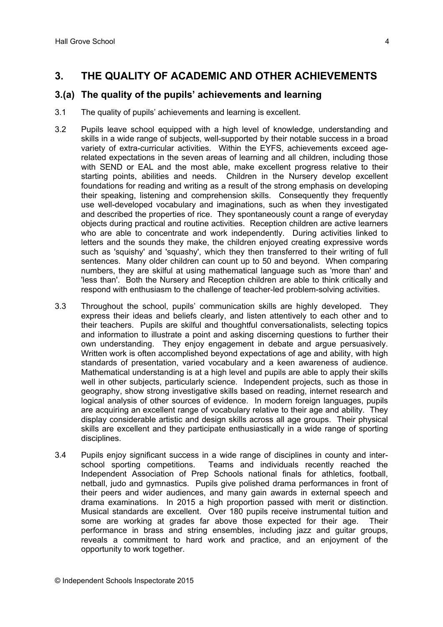## **3. THE QUALITY OF ACADEMIC AND OTHER ACHIEVEMENTS**

### **3.(a) The quality of the pupils' achievements and learning**

- 3.1 The quality of pupils' achievements and learning is excellent.
- 3.2 Pupils leave school equipped with a high level of knowledge, understanding and skills in a wide range of subjects, well-supported by their notable success in a broad variety of extra-curricular activities. Within the EYFS, achievements exceed agerelated expectations in the seven areas of learning and all children, including those with SEND or EAL and the most able, make excellent progress relative to their starting points, abilities and needs. Children in the Nursery develop excellent foundations for reading and writing as a result of the strong emphasis on developing their speaking, listening and comprehension skills. Consequently they frequently use well-developed vocabulary and imaginations, such as when they investigated and described the properties of rice. They spontaneously count a range of everyday objects during practical and routine activities. Reception children are active learners who are able to concentrate and work independently. During activities linked to letters and the sounds they make, the children enjoyed creating expressive words such as 'squishy' and 'squashy', which they then transferred to their writing of full sentences. Many older children can count up to 50 and beyond. When comparing numbers, they are skilful at using mathematical language such as 'more than' and 'less than'. Both the Nursery and Reception children are able to think critically and respond with enthusiasm to the challenge of teacher-led problem-solving activities.
- 3.3 Throughout the school, pupils' communication skills are highly developed. They express their ideas and beliefs clearly, and listen attentively to each other and to their teachers. Pupils are skilful and thoughtful conversationalists, selecting topics and information to illustrate a point and asking discerning questions to further their own understanding. They enjoy engagement in debate and argue persuasively. Written work is often accomplished beyond expectations of age and ability, with high standards of presentation, varied vocabulary and a keen awareness of audience. Mathematical understanding is at a high level and pupils are able to apply their skills well in other subjects, particularly science. Independent projects, such as those in geography, show strong investigative skills based on reading, internet research and logical analysis of other sources of evidence. In modern foreign languages, pupils are acquiring an excellent range of vocabulary relative to their age and ability. They display considerable artistic and design skills across all age groups. Their physical skills are excellent and they participate enthusiastically in a wide range of sporting disciplines.
- 3.4 Pupils enjoy significant success in a wide range of disciplines in county and interschool sporting competitions. Teams and individuals recently reached the Independent Association of Prep Schools national finals for athletics, football, netball, judo and gymnastics. Pupils give polished drama performances in front of their peers and wider audiences, and many gain awards in external speech and drama examinations. In 2015 a high proportion passed with merit or distinction. Musical standards are excellent. Over 180 pupils receive instrumental tuition and some are working at grades far above those expected for their age. Their performance in brass and string ensembles, including jazz and guitar groups, reveals a commitment to hard work and practice, and an enjoyment of the opportunity to work together.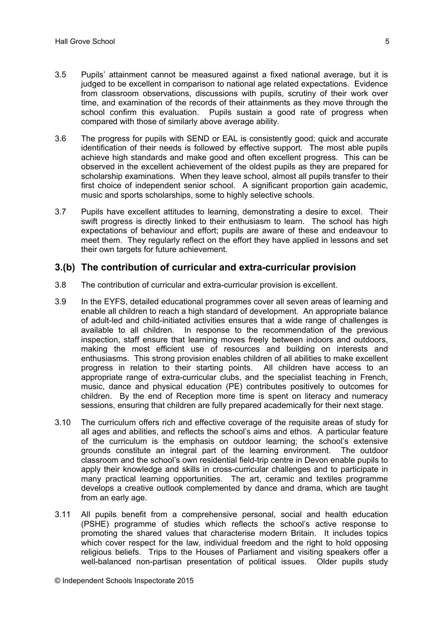- 3.5 Pupils' attainment cannot be measured against a fixed national average, but it is judged to be excellent in comparison to national age related expectations. Evidence from classroom observations, discussions with pupils, scrutiny of their work over time, and examination of the records of their attainments as they move through the school confirm this evaluation. Pupils sustain a good rate of progress when compared with those of similarly above average ability.
- 3.6 The progress for pupils with SEND or EAL is consistently good; quick and accurate identification of their needs is followed by effective support. The most able pupils achieve high standards and make good and often excellent progress. This can be observed in the excellent achievement of the oldest pupils as they are prepared for scholarship examinations. When they leave school, almost all pupils transfer to their first choice of independent senior school. A significant proportion gain academic, music and sports scholarships, some to highly selective schools.
- 3.7 Pupils have excellent attitudes to learning, demonstrating a desire to excel. Their swift progress is directly linked to their enthusiasm to learn. The school has high expectations of behaviour and effort; pupils are aware of these and endeavour to meet them. They regularly reflect on the effort they have applied in lessons and set their own targets for future achievement.

### **3.(b) The contribution of curricular and extra-curricular provision**

- 3.8 The contribution of curricular and extra-curricular provision is excellent.
- 3.9 In the EYFS, detailed educational programmes cover all seven areas of learning and enable all children to reach a high standard of development. An appropriate balance of adult-led and child-initiated activities ensures that a wide range of challenges is available to all children. In response to the recommendation of the previous inspection, staff ensure that learning moves freely between indoors and outdoors, making the most efficient use of resources and building on interests and enthusiasms. This strong provision enables children of all abilities to make excellent progress in relation to their starting points. All children have access to an appropriate range of extra-curricular clubs, and the specialist teaching in French, music, dance and physical education (PE) contributes positively to outcomes for children. By the end of Reception more time is spent on literacy and numeracy sessions, ensuring that children are fully prepared academically for their next stage.
- 3.10 The curriculum offers rich and effective coverage of the requisite areas of study for all ages and abilities, and reflects the school's aims and ethos. A particular feature of the curriculum is the emphasis on outdoor learning; the school's extensive grounds constitute an integral part of the learning environment. The outdoor classroom and the school's own residential field-trip centre in Devon enable pupils to apply their knowledge and skills in cross-curricular challenges and to participate in many practical learning opportunities. The art, ceramic and textiles programme develops a creative outlook complemented by dance and drama, which are taught from an early age.
- 3.11 All pupils benefit from a comprehensive personal, social and health education (PSHE) programme of studies which reflects the school's active response to promoting the shared values that characterise modern Britain. It includes topics which cover respect for the law, individual freedom and the right to hold opposing religious beliefs. Trips to the Houses of Parliament and visiting speakers offer a well-balanced non-partisan presentation of political issues. Older pupils study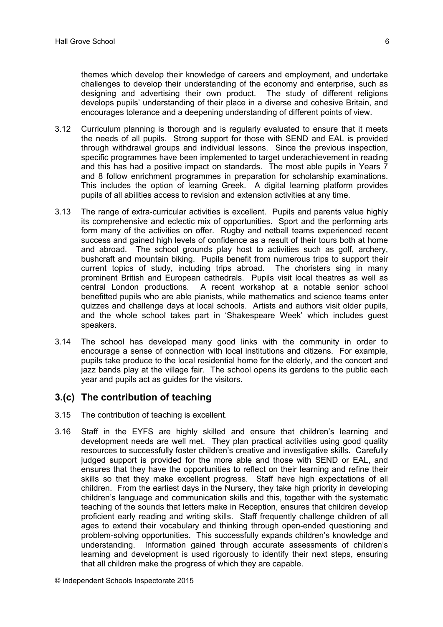themes which develop their knowledge of careers and employment, and undertake challenges to develop their understanding of the economy and enterprise, such as designing and advertising their own product. The study of different religions develops pupils' understanding of their place in a diverse and cohesive Britain, and encourages tolerance and a deepening understanding of different points of view.

- 3.12 Curriculum planning is thorough and is regularly evaluated to ensure that it meets the needs of all pupils. Strong support for those with SEND and EAL is provided through withdrawal groups and individual lessons. Since the previous inspection, specific programmes have been implemented to target underachievement in reading and this has had a positive impact on standards. The most able pupils in Years 7 and 8 follow enrichment programmes in preparation for scholarship examinations. This includes the option of learning Greek. A digital learning platform provides pupils of all abilities access to revision and extension activities at any time.
- 3.13 The range of extra-curricular activities is excellent. Pupils and parents value highly its comprehensive and eclectic mix of opportunities. Sport and the performing arts form many of the activities on offer. Rugby and netball teams experienced recent success and gained high levels of confidence as a result of their tours both at home and abroad. The school grounds play host to activities such as golf, archery, bushcraft and mountain biking. Pupils benefit from numerous trips to support their current topics of study, including trips abroad. The choristers sing in many prominent British and European cathedrals. Pupils visit local theatres as well as central London productions. A recent workshop at a notable senior school benefitted pupils who are able pianists, while mathematics and science teams enter quizzes and challenge days at local schools. Artists and authors visit older pupils, and the whole school takes part in 'Shakespeare Week' which includes guest speakers.
- 3.14 The school has developed many good links with the community in order to encourage a sense of connection with local institutions and citizens. For example, pupils take produce to the local residential home for the elderly, and the concert and jazz bands play at the village fair. The school opens its gardens to the public each year and pupils act as guides for the visitors.

### **3.(c) The contribution of teaching**

- 3.15 The contribution of teaching is excellent.
- 3.16 Staff in the EYFS are highly skilled and ensure that children's learning and development needs are well met. They plan practical activities using good quality resources to successfully foster children's creative and investigative skills. Carefully judged support is provided for the more able and those with SEND or EAL, and ensures that they have the opportunities to reflect on their learning and refine their skills so that they make excellent progress. Staff have high expectations of all children. From the earliest days in the Nursery, they take high priority in developing children's language and communication skills and this, together with the systematic teaching of the sounds that letters make in Reception, ensures that children develop proficient early reading and writing skills. Staff frequently challenge children of all ages to extend their vocabulary and thinking through open-ended questioning and problem-solving opportunities. This successfully expands children's knowledge and understanding. Information gained through accurate assessments of children's learning and development is used rigorously to identify their next steps, ensuring that all children make the progress of which they are capable.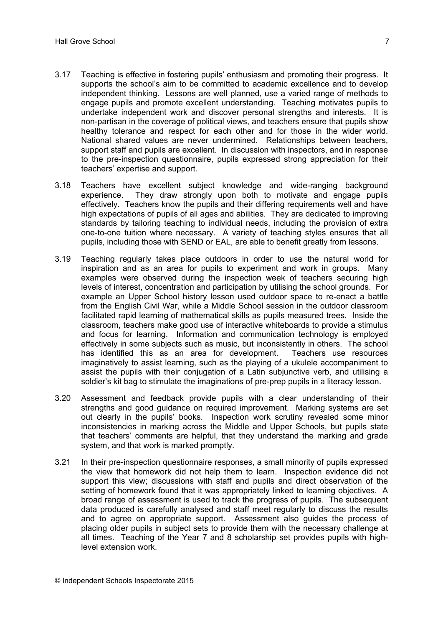- 3.17 Teaching is effective in fostering pupils' enthusiasm and promoting their progress. It supports the school's aim to be committed to academic excellence and to develop independent thinking. Lessons are well planned, use a varied range of methods to engage pupils and promote excellent understanding. Teaching motivates pupils to undertake independent work and discover personal strengths and interests. It is non-partisan in the coverage of political views, and teachers ensure that pupils show healthy tolerance and respect for each other and for those in the wider world. National shared values are never undermined. Relationships between teachers, support staff and pupils are excellent. In discussion with inspectors, and in response to the pre-inspection questionnaire, pupils expressed strong appreciation for their teachers' expertise and support.
- 3.18 Teachers have excellent subject knowledge and wide-ranging background experience. They draw strongly upon both to motivate and engage pupils effectively. Teachers know the pupils and their differing requirements well and have high expectations of pupils of all ages and abilities. They are dedicated to improving standards by tailoring teaching to individual needs, including the provision of extra one-to-one tuition where necessary. A variety of teaching styles ensures that all pupils, including those with SEND or EAL, are able to benefit greatly from lessons.
- 3.19 Teaching regularly takes place outdoors in order to use the natural world for inspiration and as an area for pupils to experiment and work in groups. Many examples were observed during the inspection week of teachers securing high levels of interest, concentration and participation by utilising the school grounds. For example an Upper School history lesson used outdoor space to re-enact a battle from the English Civil War, while a Middle School session in the outdoor classroom facilitated rapid learning of mathematical skills as pupils measured trees. Inside the classroom, teachers make good use of interactive whiteboards to provide a stimulus and focus for learning. Information and communication technology is employed effectively in some subjects such as music, but inconsistently in others. The school has identified this as an area for development. Teachers use resources imaginatively to assist learning, such as the playing of a ukulele accompaniment to assist the pupils with their conjugation of a Latin subjunctive verb, and utilising a soldier's kit bag to stimulate the imaginations of pre-prep pupils in a literacy lesson.
- 3.20 Assessment and feedback provide pupils with a clear understanding of their strengths and good guidance on required improvement. Marking systems are set out clearly in the pupils' books. Inspection work scrutiny revealed some minor inconsistencies in marking across the Middle and Upper Schools, but pupils state that teachers' comments are helpful, that they understand the marking and grade system, and that work is marked promptly.
- 3.21 In their pre-inspection questionnaire responses, a small minority of pupils expressed the view that homework did not help them to learn. Inspection evidence did not support this view; discussions with staff and pupils and direct observation of the setting of homework found that it was appropriately linked to learning objectives. A broad range of assessment is used to track the progress of pupils. The subsequent data produced is carefully analysed and staff meet regularly to discuss the results and to agree on appropriate support. Assessment also guides the process of placing older pupils in subject sets to provide them with the necessary challenge at all times. Teaching of the Year 7 and 8 scholarship set provides pupils with highlevel extension work.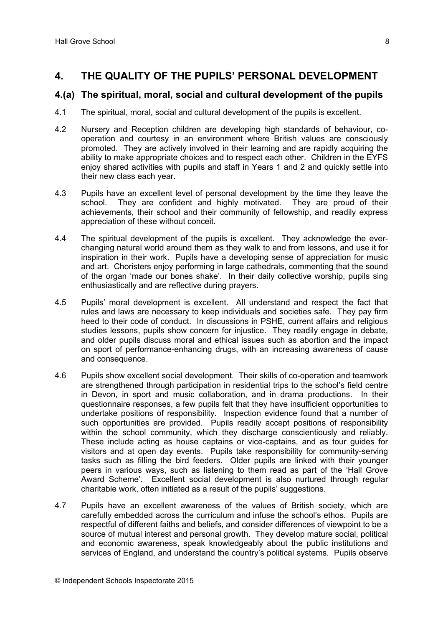## **4. THE QUALITY OF THE PUPILS' PERSONAL DEVELOPMENT**

### **4.(a) The spiritual, moral, social and cultural development of the pupils**

- 4.1 The spiritual, moral, social and cultural development of the pupils is excellent.
- 4.2 Nursery and Reception children are developing high standards of behaviour, cooperation and courtesy in an environment where British values are consciously promoted. They are actively involved in their learning and are rapidly acquiring the ability to make appropriate choices and to respect each other. Children in the EYFS eniov shared activities with pupils and staff in Years 1 and 2 and quickly settle into their new class each year.
- 4.3 Pupils have an excellent level of personal development by the time they leave the school. They are confident and highly motivated. They are proud of their achievements, their school and their community of fellowship, and readily express appreciation of these without conceit.
- 4.4 The spiritual development of the pupils is excellent. They acknowledge the everchanging natural world around them as they walk to and from lessons, and use it for inspiration in their work. Pupils have a developing sense of appreciation for music and art. Choristers enjoy performing in large cathedrals, commenting that the sound of the organ 'made our bones shake'. In their daily collective worship, pupils sing enthusiastically and are reflective during prayers.
- 4.5 Pupils' moral development is excellent. All understand and respect the fact that rules and laws are necessary to keep individuals and societies safe. They pay firm heed to their code of conduct. In discussions in PSHE, current affairs and religious studies lessons, pupils show concern for injustice. They readily engage in debate, and older pupils discuss moral and ethical issues such as abortion and the impact on sport of performance-enhancing drugs, with an increasing awareness of cause and consequence.
- 4.6 Pupils show excellent social development. Their skills of co-operation and teamwork are strengthened through participation in residential trips to the school's field centre in Devon, in sport and music collaboration, and in drama productions. In their questionnaire responses, a few pupils felt that they have insufficient opportunities to undertake positions of responsibility. Inspection evidence found that a number of such opportunities are provided. Pupils readily accept positions of responsibility within the school community, which they discharge conscientiously and reliably. These include acting as house captains or vice-captains, and as tour guides for visitors and at open day events. Pupils take responsibility for community-serving tasks such as filling the bird feeders. Older pupils are linked with their younger peers in various ways, such as listening to them read as part of the 'Hall Grove Award Scheme'. Excellent social development is also nurtured through regular charitable work, often initiated as a result of the pupils' suggestions.
- 4.7 Pupils have an excellent awareness of the values of British society, which are carefully embedded across the curriculum and infuse the school's ethos. Pupils are respectful of different faiths and beliefs, and consider differences of viewpoint to be a source of mutual interest and personal growth. They develop mature social, political and economic awareness, speak knowledgeably about the public institutions and services of England, and understand the country's political systems. Pupils observe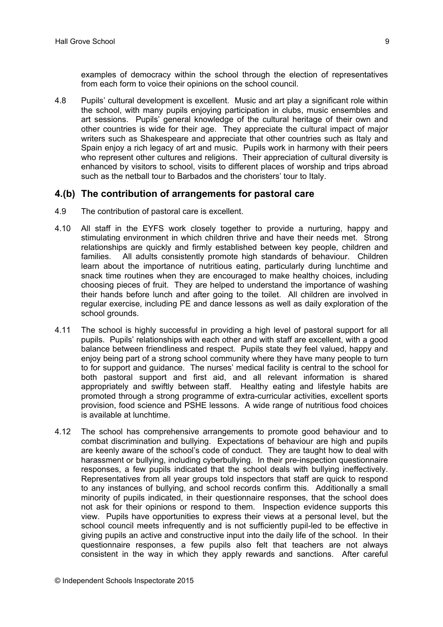examples of democracy within the school through the election of representatives from each form to voice their opinions on the school council.

4.8 Pupils' cultural development is excellent. Music and art play a significant role within the school, with many pupils enjoying participation in clubs, music ensembles and art sessions. Pupils' general knowledge of the cultural heritage of their own and other countries is wide for their age. They appreciate the cultural impact of major writers such as Shakespeare and appreciate that other countries such as Italy and Spain enjoy a rich legacy of art and music. Pupils work in harmony with their peers who represent other cultures and religions. Their appreciation of cultural diversity is enhanced by visitors to school, visits to different places of worship and trips abroad such as the netball tour to Barbados and the choristers' tour to Italy.

### **4.(b) The contribution of arrangements for pastoral care**

- 4.9 The contribution of pastoral care is excellent.
- 4.10 All staff in the EYFS work closely together to provide a nurturing, happy and stimulating environment in which children thrive and have their needs met. Strong relationships are quickly and firmly established between key people, children and families. All adults consistently promote high standards of behaviour. Children learn about the importance of nutritious eating, particularly during lunchtime and snack time routines when they are encouraged to make healthy choices, including choosing pieces of fruit. They are helped to understand the importance of washing their hands before lunch and after going to the toilet. All children are involved in regular exercise, including PE and dance lessons as well as daily exploration of the school grounds.
- 4.11 The school is highly successful in providing a high level of pastoral support for all pupils. Pupils' relationships with each other and with staff are excellent, with a good balance between friendliness and respect. Pupils state they feel valued, happy and enjoy being part of a strong school community where they have many people to turn to for support and guidance. The nurses' medical facility is central to the school for both pastoral support and first aid, and all relevant information is shared appropriately and swiftly between staff. Healthy eating and lifestyle habits are promoted through a strong programme of extra-curricular activities, excellent sports provision, food science and PSHE lessons. A wide range of nutritious food choices is available at lunchtime.
- 4.12 The school has comprehensive arrangements to promote good behaviour and to combat discrimination and bullying. Expectations of behaviour are high and pupils are keenly aware of the school's code of conduct. They are taught how to deal with harassment or bullying, including cyberbullying. In their pre-inspection questionnaire responses, a few pupils indicated that the school deals with bullying ineffectively. Representatives from all year groups told inspectors that staff are quick to respond to any instances of bullying, and school records confirm this. Additionally a small minority of pupils indicated, in their questionnaire responses, that the school does not ask for their opinions or respond to them. Inspection evidence supports this view. Pupils have opportunities to express their views at a personal level, but the school council meets infrequently and is not sufficiently pupil-led to be effective in giving pupils an active and constructive input into the daily life of the school. In their questionnaire responses, a few pupils also felt that teachers are not always consistent in the way in which they apply rewards and sanctions. After careful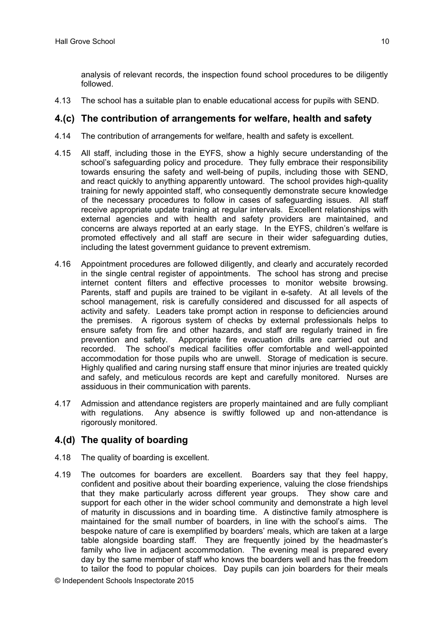analysis of relevant records, the inspection found school procedures to be diligently followed.

4.13 The school has a suitable plan to enable educational access for pupils with SEND.

#### **4.(c) The contribution of arrangements for welfare, health and safety**

- 4.14 The contribution of arrangements for welfare, health and safety is excellent.
- 4.15 All staff, including those in the EYFS, show a highly secure understanding of the school's safequarding policy and procedure. They fully embrace their responsibility towards ensuring the safety and well-being of pupils, including those with SEND, and react quickly to anything apparently untoward. The school provides high-quality training for newly appointed staff, who consequently demonstrate secure knowledge of the necessary procedures to follow in cases of safeguarding issues. All staff receive appropriate update training at regular intervals. Excellent relationships with external agencies and with health and safety providers are maintained, and concerns are always reported at an early stage. In the EYFS, children's welfare is promoted effectively and all staff are secure in their wider safeguarding duties, including the latest government guidance to prevent extremism.
- 4.16 Appointment procedures are followed diligently, and clearly and accurately recorded in the single central register of appointments. The school has strong and precise internet content filters and effective processes to monitor website browsing. Parents, staff and pupils are trained to be vigilant in e-safety. At all levels of the school management, risk is carefully considered and discussed for all aspects of activity and safety. Leaders take prompt action in response to deficiencies around the premises. A rigorous system of checks by external professionals helps to ensure safety from fire and other hazards, and staff are regularly trained in fire prevention and safety. Appropriate fire evacuation drills are carried out and recorded. The school's medical facilities offer comfortable and well-appointed accommodation for those pupils who are unwell. Storage of medication is secure. Highly qualified and caring nursing staff ensure that minor injuries are treated quickly and safely, and meticulous records are kept and carefully monitored. Nurses are assiduous in their communication with parents.
- 4.17 Admission and attendance registers are properly maintained and are fully compliant with regulations. Any absence is swiftly followed up and non-attendance is rigorously monitored.

## **4.(d) The quality of boarding**

- 4.18 The quality of boarding is excellent.
- 4.19 The outcomes for boarders are excellent. Boarders say that they feel happy, confident and positive about their boarding experience, valuing the close friendships that they make particularly across different year groups. They show care and support for each other in the wider school community and demonstrate a high level of maturity in discussions and in boarding time. A distinctive family atmosphere is maintained for the small number of boarders, in line with the school's aims. The bespoke nature of care is exemplified by boarders' meals, which are taken at a large table alongside boarding staff. They are frequently joined by the headmaster's family who live in adjacent accommodation. The evening meal is prepared every day by the same member of staff who knows the boarders well and has the freedom to tailor the food to popular choices. Day pupils can join boarders for their meals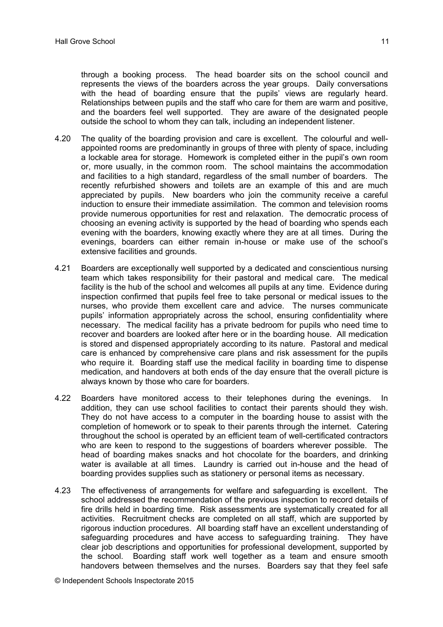through a booking process. The head boarder sits on the school council and represents the views of the boarders across the year groups. Daily conversations with the head of boarding ensure that the pupils' views are regularly heard. Relationships between pupils and the staff who care for them are warm and positive, and the boarders feel well supported. They are aware of the designated people outside the school to whom they can talk, including an independent listener.

- 4.20 The quality of the boarding provision and care is excellent. The colourful and wellappointed rooms are predominantly in groups of three with plenty of space, including a lockable area for storage. Homework is completed either in the pupil's own room or, more usually, in the common room. The school maintains the accommodation and facilities to a high standard, regardless of the small number of boarders. The recently refurbished showers and toilets are an example of this and are much appreciated by pupils. New boarders who join the community receive a careful induction to ensure their immediate assimilation. The common and television rooms provide numerous opportunities for rest and relaxation. The democratic process of choosing an evening activity is supported by the head of boarding who spends each evening with the boarders, knowing exactly where they are at all times. During the evenings, boarders can either remain in-house or make use of the school's extensive facilities and grounds.
- 4.21 Boarders are exceptionally well supported by a dedicated and conscientious nursing team which takes responsibility for their pastoral and medical care. The medical facility is the hub of the school and welcomes all pupils at any time. Evidence during inspection confirmed that pupils feel free to take personal or medical issues to the nurses, who provide them excellent care and advice. The nurses communicate pupils' information appropriately across the school, ensuring confidentiality where necessary. The medical facility has a private bedroom for pupils who need time to recover and boarders are looked after here or in the boarding house. All medication is stored and dispensed appropriately according to its nature. Pastoral and medical care is enhanced by comprehensive care plans and risk assessment for the pupils who require it. Boarding staff use the medical facility in boarding time to dispense medication, and handovers at both ends of the day ensure that the overall picture is always known by those who care for boarders.
- 4.22 Boarders have monitored access to their telephones during the evenings. In addition, they can use school facilities to contact their parents should they wish. They do not have access to a computer in the boarding house to assist with the completion of homework or to speak to their parents through the internet. Catering throughout the school is operated by an efficient team of well-certificated contractors who are keen to respond to the suggestions of boarders wherever possible. The head of boarding makes snacks and hot chocolate for the boarders, and drinking water is available at all times. Laundry is carried out in-house and the head of boarding provides supplies such as stationery or personal items as necessary.
- 4.23 The effectiveness of arrangements for welfare and safeguarding is excellent. The school addressed the recommendation of the previous inspection to record details of fire drills held in boarding time. Risk assessments are systematically created for all activities. Recruitment checks are completed on all staff, which are supported by rigorous induction procedures. All boarding staff have an excellent understanding of safeguarding procedures and have access to safeguarding training. They have clear job descriptions and opportunities for professional development, supported by the school. Boarding staff work well together as a team and ensure smooth handovers between themselves and the nurses. Boarders say that they feel safe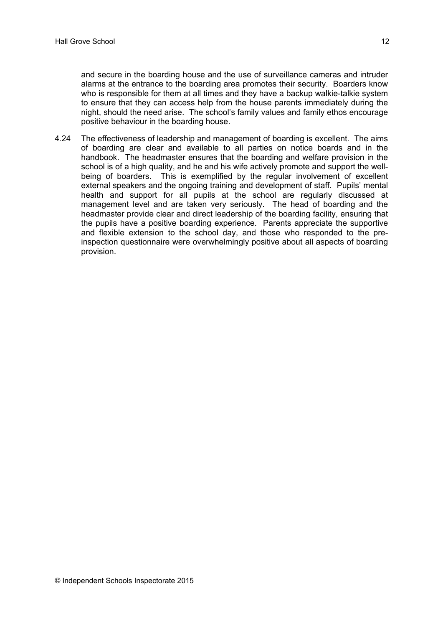and secure in the boarding house and the use of surveillance cameras and intruder alarms at the entrance to the boarding area promotes their security. Boarders know who is responsible for them at all times and they have a backup walkie-talkie system to ensure that they can access help from the house parents immediately during the night, should the need arise. The school's family values and family ethos encourage positive behaviour in the boarding house.

4.24 The effectiveness of leadership and management of boarding is excellent. The aims of boarding are clear and available to all parties on notice boards and in the handbook. The headmaster ensures that the boarding and welfare provision in the school is of a high quality, and he and his wife actively promote and support the wellbeing of boarders. This is exemplified by the regular involvement of excellent external speakers and the ongoing training and development of staff. Pupils' mental health and support for all pupils at the school are regularly discussed at management level and are taken very seriously. The head of boarding and the headmaster provide clear and direct leadership of the boarding facility, ensuring that the pupils have a positive boarding experience. Parents appreciate the supportive and flexible extension to the school day, and those who responded to the preinspection questionnaire were overwhelmingly positive about all aspects of boarding provision.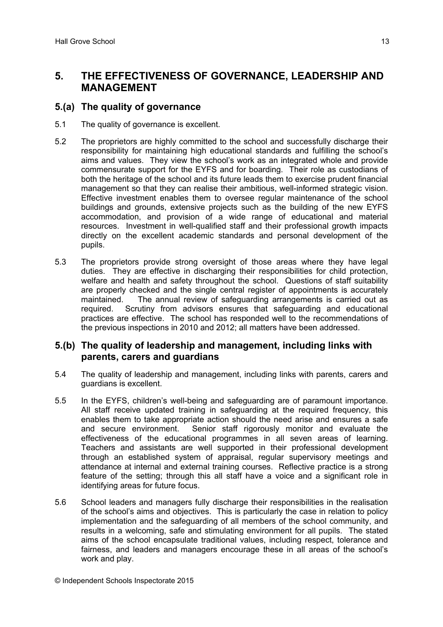## **5. THE EFFECTIVENESS OF GOVERNANCE, LEADERSHIP AND MANAGEMENT**

## **5.(a) The quality of governance**

- 5.1 The quality of governance is excellent.
- 5.2 The proprietors are highly committed to the school and successfully discharge their responsibility for maintaining high educational standards and fulfilling the school's aims and values. They view the school's work as an integrated whole and provide commensurate support for the EYFS and for boarding. Their role as custodians of both the heritage of the school and its future leads them to exercise prudent financial management so that they can realise their ambitious, well-informed strategic vision. Effective investment enables them to oversee regular maintenance of the school buildings and grounds, extensive projects such as the building of the new EYFS accommodation, and provision of a wide range of educational and material resources. Investment in well-qualified staff and their professional growth impacts directly on the excellent academic standards and personal development of the pupils.
- 5.3 The proprietors provide strong oversight of those areas where they have legal duties. They are effective in discharging their responsibilities for child protection, welfare and health and safety throughout the school. Questions of staff suitability are properly checked and the single central register of appointments is accurately maintained. The annual review of safeguarding arrangements is carried out as required. Scrutiny from advisors ensures that safeguarding and educational practices are effective. The school has responded well to the recommendations of the previous inspections in 2010 and 2012; all matters have been addressed.

## **5.(b) The quality of leadership and management, including links with parents, carers and guardians**

- 5.4 The quality of leadership and management, including links with parents, carers and guardians is excellent.
- 5.5 In the EYFS, children's well-being and safeguarding are of paramount importance. All staff receive updated training in safeguarding at the required frequency, this enables them to take appropriate action should the need arise and ensures a safe and secure environment. Senior staff rigorously monitor and evaluate the effectiveness of the educational programmes in all seven areas of learning. Teachers and assistants are well supported in their professional development through an established system of appraisal, regular supervisory meetings and attendance at internal and external training courses. Reflective practice is a strong feature of the setting; through this all staff have a voice and a significant role in identifying areas for future focus.
- 5.6 School leaders and managers fully discharge their responsibilities in the realisation of the school's aims and objectives. This is particularly the case in relation to policy implementation and the safeguarding of all members of the school community, and results in a welcoming, safe and stimulating environment for all pupils. The stated aims of the school encapsulate traditional values, including respect, tolerance and fairness, and leaders and managers encourage these in all areas of the school's work and play.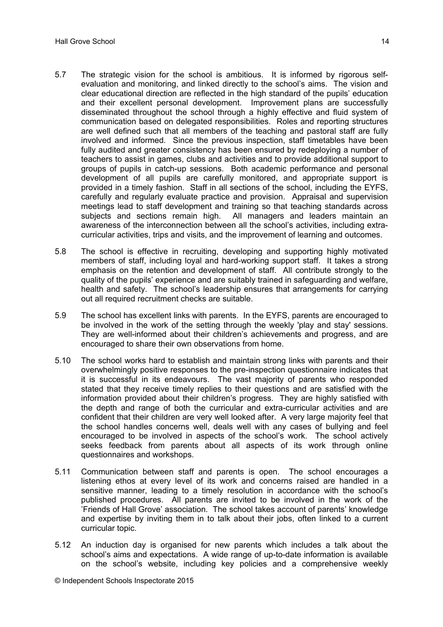- 5.7 The strategic vision for the school is ambitious. It is informed by rigorous selfevaluation and monitoring, and linked directly to the school's aims. The vision and clear educational direction are reflected in the high standard of the pupils' education and their excellent personal development. Improvement plans are successfully disseminated throughout the school through a highly effective and fluid system of communication based on delegated responsibilities. Roles and reporting structures are well defined such that all members of the teaching and pastoral staff are fully involved and informed. Since the previous inspection, staff timetables have been fully audited and greater consistency has been ensured by redeploying a number of teachers to assist in games, clubs and activities and to provide additional support to groups of pupils in catch-up sessions. Both academic performance and personal development of all pupils are carefully monitored, and appropriate support is provided in a timely fashion. Staff in all sections of the school, including the EYFS, carefully and regularly evaluate practice and provision. Appraisal and supervision meetings lead to staff development and training so that teaching standards across subjects and sections remain high. All managers and leaders maintain an awareness of the interconnection between all the school's activities, including extracurricular activities, trips and visits, and the improvement of learning and outcomes.
- 5.8 The school is effective in recruiting, developing and supporting highly motivated members of staff, including loyal and hard-working support staff. It takes a strong emphasis on the retention and development of staff. All contribute strongly to the quality of the pupils' experience and are suitably trained in safeguarding and welfare, health and safety. The school's leadership ensures that arrangements for carrying out all required recruitment checks are suitable.
- 5.9 The school has excellent links with parents. In the EYFS, parents are encouraged to be involved in the work of the setting through the weekly 'play and stay' sessions. They are well-informed about their children's achievements and progress, and are encouraged to share their own observations from home.
- 5.10 The school works hard to establish and maintain strong links with parents and their overwhelmingly positive responses to the pre-inspection questionnaire indicates that it is successful in its endeavours. The vast majority of parents who responded stated that they receive timely replies to their questions and are satisfied with the information provided about their children's progress. They are highly satisfied with the depth and range of both the curricular and extra-curricular activities and are confident that their children are very well looked after. A very large majority feel that the school handles concerns well, deals well with any cases of bullying and feel encouraged to be involved in aspects of the school's work. The school actively seeks feedback from parents about all aspects of its work through online questionnaires and workshops.
- 5.11 Communication between staff and parents is open. The school encourages a listening ethos at every level of its work and concerns raised are handled in a sensitive manner, leading to a timely resolution in accordance with the school's published procedures. All parents are invited to be involved in the work of the 'Friends of Hall Grove' association. The school takes account of parents' knowledge and expertise by inviting them in to talk about their jobs, often linked to a current curricular topic.
- 5.12 An induction day is organised for new parents which includes a talk about the school's aims and expectations. A wide range of up-to-date information is available on the school's website, including key policies and a comprehensive weekly